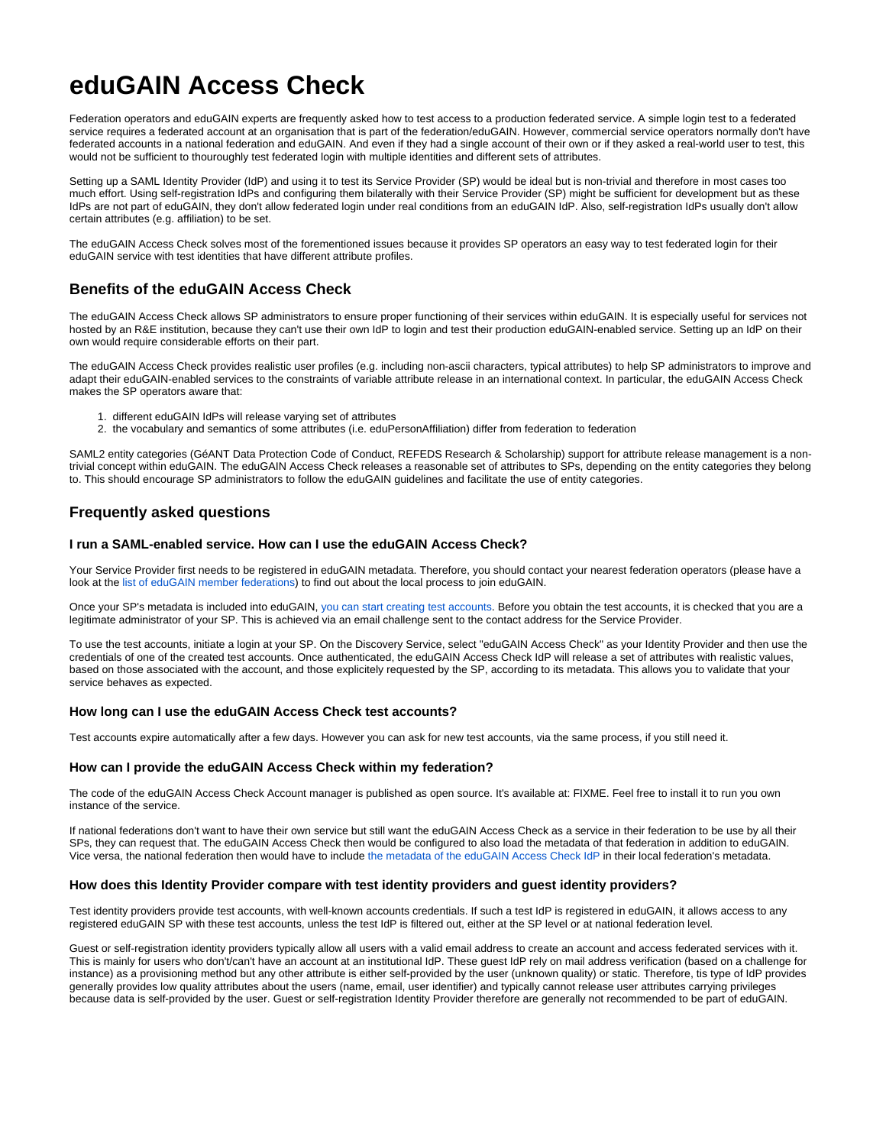# **eduGAIN Access Check**

Federation operators and eduGAIN experts are frequently asked how to test access to a production federated service. A simple login test to a federated service requires a federated account at an organisation that is part of the federation/eduGAIN. However, commercial service operators normally don't have federated accounts in a national federation and eduGAIN. And even if they had a single account of their own or if they asked a real-world user to test, this would not be sufficient to thouroughly test federated login with multiple identities and different sets of attributes.

Setting up a SAML Identity Provider (IdP) and using it to test its Service Provider (SP) would be ideal but is non-trivial and therefore in most cases too much effort. Using self-registration IdPs and configuring them bilaterally with their Service Provider (SP) might be sufficient for development but as these IdPs are not part of eduGAIN, they don't allow federated login under real conditions from an eduGAIN IdP. Also, self-registration IdPs usually don't allow certain attributes (e.g. affiliation) to be set.

The eduGAIN Access Check solves most of the forementioned issues because it provides SP operators an easy way to test federated login for their eduGAIN service with test identities that have different attribute profiles.

# **Benefits of the eduGAIN Access Check**

The eduGAIN Access Check allows SP administrators to ensure proper functioning of their services within eduGAIN. It is especially useful for services not hosted by an R&E institution, because they can't use their own IdP to login and test their production eduGAIN-enabled service. Setting up an IdP on their own would require considerable efforts on their part.

The eduGAIN Access Check provides realistic user profiles (e.g. including non-ascii characters, typical attributes) to help SP administrators to improve and adapt their eduGAIN-enabled services to the constraints of variable attribute release in an international context. In particular, the eduGAIN Access Check makes the SP operators aware that:

- 1. different eduGAIN IdPs will release varying set of attributes
- 2. the vocabulary and semantics of some attributes (i.e. eduPersonAffiliation) differ from federation to federation

SAML2 entity categories (GéANT Data Protection Code of Conduct, REFEDS Research & Scholarship) support for attribute release management is a nontrivial concept within eduGAIN. The eduGAIN Access Check releases a reasonable set of attributes to SPs, depending on the entity categories they belong to. This should encourage SP administrators to follow the eduGAIN guidelines and facilitate the use of entity categories.

# **Frequently asked questions**

## **I run a SAML-enabled service. How can I use the eduGAIN Access Check?**

Your Service Provider first needs to be registered in eduGAIN metadata. Therefore, you should contact your nearest federation operators (please have a look at the [list of eduGAIN member federations\)](https://technical.edugain.org/status) to find out about the local process to join eduGAIN.

Once your SP's metadata is included into eduGAIN, [you can start creating test accounts](https://access-check.edugain.org/). Before you obtain the test accounts, it is checked that you are a legitimate administrator of your SP. This is achieved via an email challenge sent to the contact address for the Service Provider.

To use the test accounts, initiate a login at your SP. On the Discovery Service, select "eduGAIN Access Check" as your Identity Provider and then use the credentials of one of the created test accounts. Once authenticated, the eduGAIN Access Check IdP will release a set of attributes with realistic values, based on those associated with the account, and those explicitely requested by the SP, according to its metadata. This allows you to validate that your service behaves as expected.

# **How long can I use the eduGAIN Access Check test accounts?**

Test accounts expire automatically after a few days. However you can ask for new test accounts, via the same process, if you still need it.

### **How can I provide the eduGAIN Access Check within my federation?**

The code of the eduGAIN Access Check Account manager is published as open source. It's available at: FIXME. Feel free to install it to run you own instance of the service.

If national federations don't want to have their own service but still want the eduGAIN Access Check as a service in their federation to be use by all their SPs, they can request that. The eduGAIN Access Check then would be configured to also load the metadata of that federation in addition to eduGAIN. Vice versa, the national federation then would have to include [the metadata of the eduGAIN Access Check IdP](https://access-check.edugain.org/simplesaml/saml2/idp/metadata.php) in their local federation's metadata.

### **How does this Identity Provider compare with test identity providers and guest identity providers?**

Test identity providers provide test accounts, with well-known accounts credentials. If such a test IdP is registered in eduGAIN, it allows access to any registered eduGAIN SP with these test accounts, unless the test IdP is filtered out, either at the SP level or at national federation level.

Guest or self-registration identity providers typically allow all users with a valid email address to create an account and access federated services with it. This is mainly for users who don't/can't have an account at an institutional IdP. These guest IdP rely on mail address verification (based on a challenge for instance) as a provisioning method but any other attribute is either self-provided by the user (unknown quality) or static. Therefore, tis type of IdP provides generally provides low quality attributes about the users (name, email, user identifier) and typically cannot release user attributes carrying privileges because data is self-provided by the user. Guest or self-registration Identity Provider therefore are generally not recommended to be part of eduGAIN.